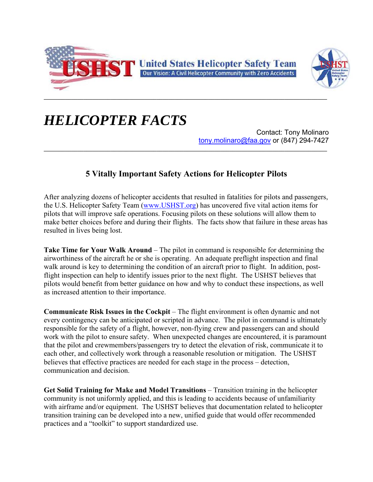



## *HELICOPTER FACTS*

Contact: Tony Molinaro tony.molinaro@faa.gov or (847) 294-7427

## **5 Vitally Important Safety Actions for Helicopter Pilots**

After analyzing dozens of helicopter accidents that resulted in fatalities for pilots and passengers, the U.S. Helicopter Safety Team (www.USHST.org) has uncovered five vital action items for pilots that will improve safe operations. Focusing pilots on these solutions will allow them to make better choices before and during their flights. The facts show that failure in these areas has resulted in lives being lost.

**Take Time for Your Walk Around** – The pilot in command is responsible for determining the airworthiness of the aircraft he or she is operating. An adequate preflight inspection and final walk around is key to determining the condition of an aircraft prior to flight. In addition, postflight inspection can help to identify issues prior to the next flight. The USHST believes that pilots would benefit from better guidance on how and why to conduct these inspections, as well as increased attention to their importance.

**Communicate Risk Issues in the Cockpit** – The flight environment is often dynamic and not every contingency can be anticipated or scripted in advance. The pilot in command is ultimately responsible for the safety of a flight, however, non-flying crew and passengers can and should work with the pilot to ensure safety. When unexpected changes are encountered, it is paramount that the pilot and crewmembers/passengers try to detect the elevation of risk, communicate it to each other, and collectively work through a reasonable resolution or mitigation. The USHST believes that effective practices are needed for each stage in the process – detection, communication and decision.

**Get Solid Training for Make and Model Transitions** – Transition training in the helicopter community is not uniformly applied, and this is leading to accidents because of unfamiliarity with airframe and/or equipment. The USHST believes that documentation related to helicopter transition training can be developed into a new, unified guide that would offer recommended practices and a "toolkit" to support standardized use.